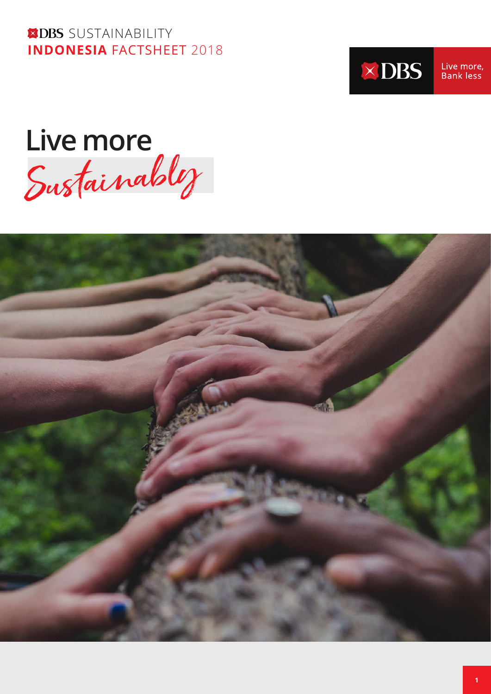**XDBS** SUSTAINABILITY **INDONESIA** FACTSHEET 2018



Live more,<br>Bank less

Live more<br>Sustainabl*y* 

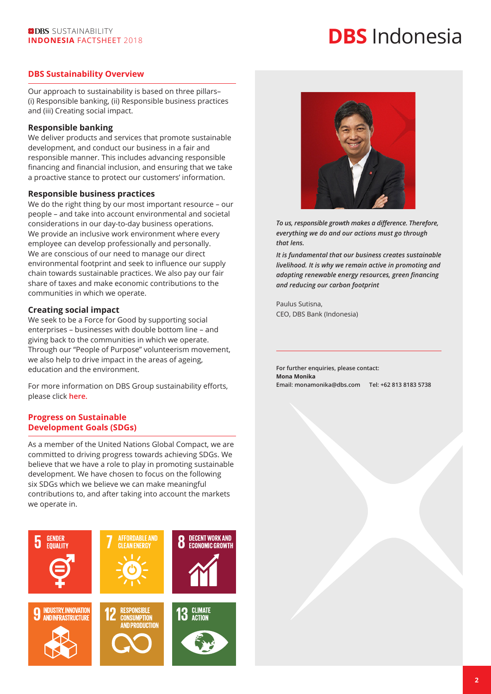# **DBS** Indonesia

#### **DBS Sustainability Overview**

Our approach to sustainability is based on three pillars– (i) Responsible banking, (ii) Responsible business practices and (iii) Creating social impact.

#### **Responsible banking**

We deliver products and services that promote sustainable development, and conduct our business in a fair and responsible manner. This includes advancing responsible financing and financial inclusion, and ensuring that we take a proactive stance to protect our customers' information.

#### **Responsible business practices**

We do the right thing by our most important resource – our people – and take into account environmental and societal considerations in our day-to-day business operations. We provide an inclusive work environment where every employee can develop professionally and personally. We are conscious of our need to manage our direct environmental footprint and seek to influence our supply chain towards sustainable practices. We also pay our fair share of taxes and make economic contributions to the communities in which we operate.

#### **Creating social impact**

We seek to be a Force for Good by supporting social enterprises – businesses with double bottom line – and giving back to the communities in which we operate. Through our "People of Purpose" volunteerism movement, we also help to drive impact in the areas of ageing, education and the environment.

For more information on DBS Group sustainability efforts, please click **[here.](https://www.dbs.com/sustainability/default.page)**

#### **Progress on Sustainable Development Goals (SDGs)**

As a member of the United Nations Global Compact, we are committed to driving progress towards achieving SDGs. We believe that we have a role to play in promoting sustainable development. We have chosen to focus on the following six SDGs which we believe we can make meaningful contributions to, and after taking into account the markets we operate in.





*To us, responsible growth makes a difference. Therefore, everything we do and our actions must go through that lens.*

*It is fundamental that our business creates sustainable livelihood. It is why we remain active in promoting and adopting renewable energy resources, green financing and reducing our carbon footprint*

Paulus Sutisna, CEO, DBS Bank (Indonesia)

**For further enquiries, please contact: Mona Monika Email: monamonika@dbs.com Tel: +62 813 8183 5738**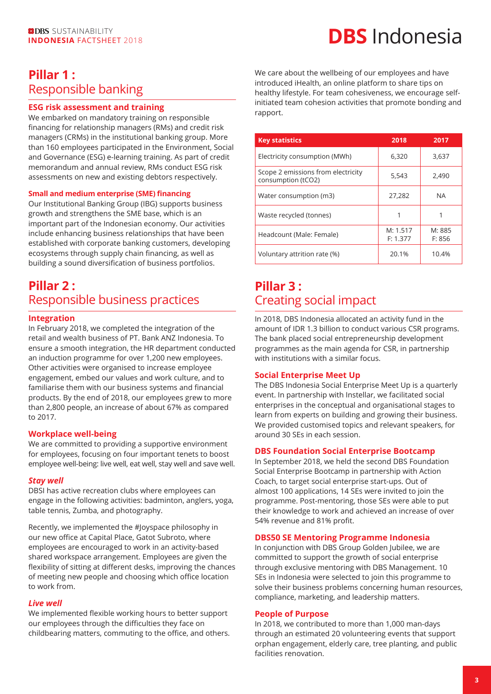# **INDONESIA** FACTSHEET 2018 **DBS** Indonesia FACTSHEET 2018

### **Pillar 1 :**  Responsible banking

#### **ESG risk assessment and training**

We embarked on mandatory training on responsible financing for relationship managers (RMs) and credit risk managers (CRMs) in the institutional banking group. More than 160 employees participated in the Environment, Social and Governance (ESG) e-learning training. As part of credit memorandum and annual review, RMs conduct ESG risk assessments on new and existing debtors respectively.

#### **Small and medium enterprise (SME) financing**

Our Institutional Banking Group (IBG) supports business growth and strengthens the SME base, which is an important part of the Indonesian economy. Our activities include enhancing business relationships that have been established with corporate banking customers, developing ecosystems through supply chain financing, as well as building a sound diversification of business portfolios.

### **Pillar 2 :**  Responsible business practices

#### **Integration**

In February 2018, we completed the integration of the retail and wealth business of PT. Bank ANZ Indonesia. To ensure a smooth integration, the HR department conducted an induction programme for over 1,200 new employees. Other activities were organised to increase employee engagement, embed our values and work culture, and to familiarise them with our business systems and financial products. By the end of 2018, our employees grew to more than 2,800 people, an increase of about 67% as compared to 2017.

#### **Workplace well-being**

We are committed to providing a supportive environment for employees, focusing on four important tenets to boost employee well-being: live well, eat well, stay well and save well.

#### *Stay well*

DBSI has active recreation clubs where employees can engage in the following activities: badminton, anglers, yoga, table tennis, Zumba, and photography.

Recently, we implemented the #Joyspace philosophy in our new office at Capital Place, Gatot Subroto, where employees are encouraged to work in an activity-based shared workspace arrangement. Employees are given the flexibility of sitting at different desks, improving the chances of meeting new people and choosing which office location to work from.

#### *Live well*

We implemented flexible working hours to better support our employees through the difficulties they face on childbearing matters, commuting to the office, and others. We care about the wellbeing of our employees and have introduced iHealth, an online platform to share tips on healthy lifestyle. For team cohesiveness, we encourage selfinitiated team cohesion activities that promote bonding and rapport.

| <b>Key statistics</b>                                    | 2018                 | 2017             |
|----------------------------------------------------------|----------------------|------------------|
| Electricity consumption (MWh)                            | 6,320                | 3,637            |
| Scope 2 emissions from electricity<br>consumption (tCO2) | 5,543                | 2,490            |
| Water consumption (m3)                                   | 27,282               | <b>NA</b>        |
| Waste recycled (tonnes)                                  |                      |                  |
| Headcount (Male: Female)                                 | M: 1.517<br>F: 1.377 | M: 885<br>F: 856 |
| Voluntary attrition rate (%)                             | 20.1%                | 10.4%            |

### **Pillar 3 :**  Creating social impact

In 2018, DBS Indonesia allocated an activity fund in the amount of IDR 1.3 billion to conduct various CSR programs. The bank placed social entrepreneurship development programmes as the main agenda for CSR, in partnership with institutions with a similar focus.

#### **Social Enterprise Meet Up**

The DBS Indonesia Social Enterprise Meet Up is a quarterly event. In partnership with Instellar, we facilitated social enterprises in the conceptual and organisational stages to learn from experts on building and growing their business. We provided customised topics and relevant speakers, for around 30 SEs in each session.

#### **DBS Foundation Social Enterprise Bootcamp**

In September 2018, we held the second DBS Foundation Social Enterprise Bootcamp in partnership with Action Coach, to target social enterprise start-ups. Out of almost 100 applications, 14 SEs were invited to join the programme. Post-mentoring, those SEs were able to put their knowledge to work and achieved an increase of over 54% revenue and 81% profit.

#### **DBS50 SE Mentoring Programme Indonesia**

In conjunction with DBS Group Golden Jubilee, we are committed to support the growth of social enterprise through exclusive mentoring with DBS Management. 10 SEs in Indonesia were selected to join this programme to solve their business problems concerning human resources, compliance, marketing, and leadership matters.

#### **People of Purpose**

In 2018, we contributed to more than 1,000 man-days through an estimated 20 volunteering events that support orphan engagement, elderly care, tree planting, and public facilities renovation.